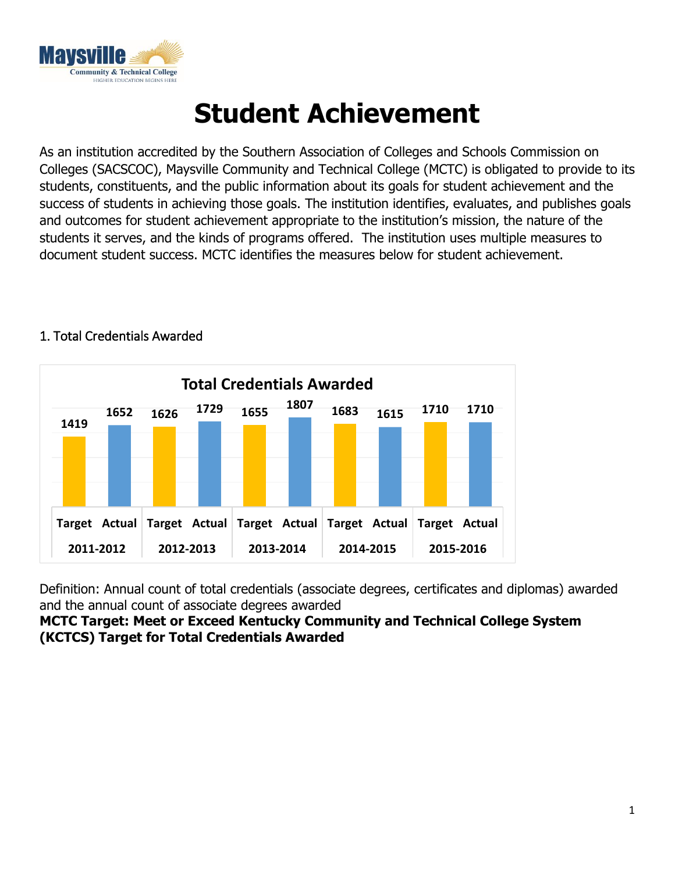

# **Student Achievement**

As an institution accredited by the Southern Association of Colleges and Schools Commission on Colleges (SACSCOC), Maysville Community and Technical College (MCTC) is obligated to provide to its students, constituents, and the public information about its goals for student achievement and the success of students in achieving those goals. The institution identifies, evaluates, and publishes goals and outcomes for student achievement appropriate to the institution's mission, the nature of the students it serves, and the kinds of programs offered. The institution uses multiple measures to document student success. MCTC identifies the measures below for student achievement.



# 1. Total Credentials Awarded

Definition: Annual count of total credentials (associate degrees, certificates and diplomas) awarded and the annual count of associate degrees awarded

**MCTC Target: Meet or Exceed Kentucky Community and Technical College System (KCTCS) Target for Total Credentials Awarded**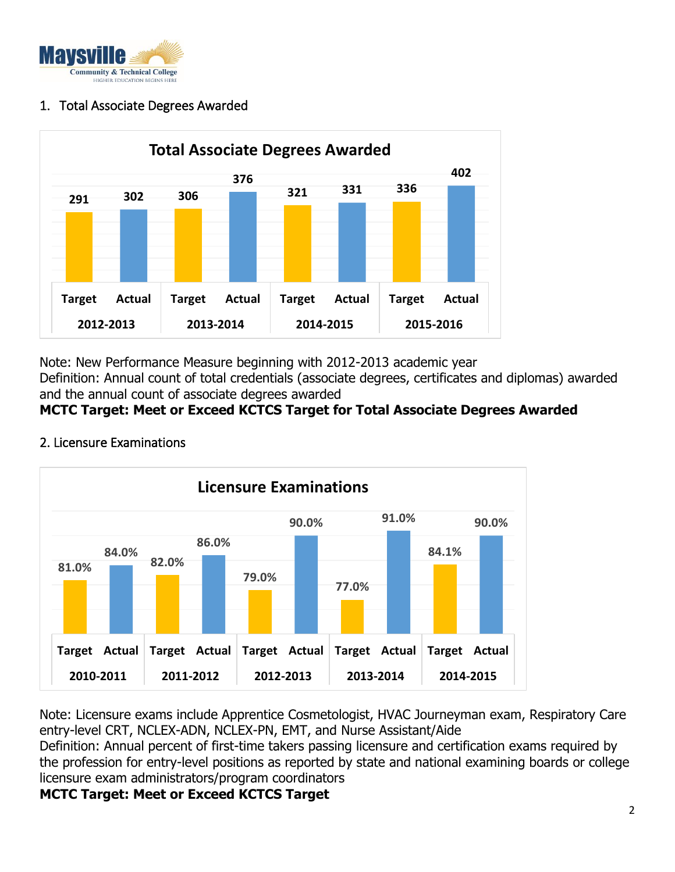

# 1. Total Associate Degrees Awarded



Note: New Performance Measure beginning with 2012-2013 academic year

Definition: Annual count of total credentials (associate degrees, certificates and diplomas) awarded and the annual count of associate degrees awarded

# **MCTC Target: Meet or Exceed KCTCS Target for Total Associate Degrees Awarded**



# 2. Licensure Examinations

Note: Licensure exams include Apprentice Cosmetologist, HVAC Journeyman exam, Respiratory Care entry-level CRT, NCLEX-ADN, NCLEX-PN, EMT, and Nurse Assistant/Aide

Definition: Annual percent of first-time takers passing licensure and certification exams required by the profession for entry-level positions as reported by state and national examining boards or college licensure exam administrators/program coordinators

# **MCTC Target: Meet or Exceed KCTCS Target**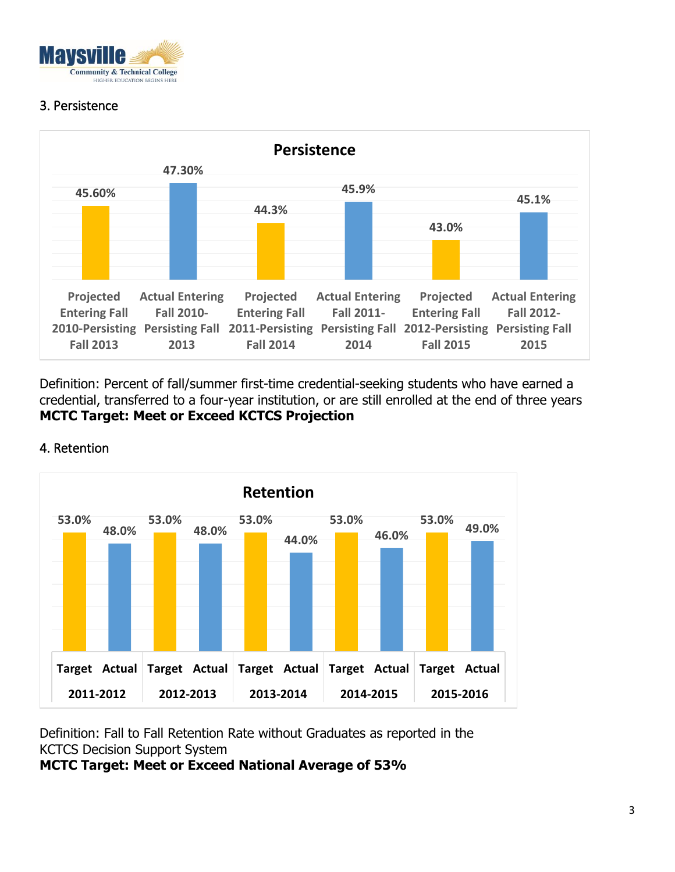

# 3. Persistence



Definition: Percent of fall/summer first-time credential-seeking students who have earned a credential, transferred to a four-year institution, or are still enrolled at the end of three years **MCTC Target: Meet or Exceed KCTCS Projection**



# 4. Retention

Definition: Fall to Fall Retention Rate without Graduates as reported in the KCTCS Decision Support System

**MCTC Target: Meet or Exceed National Average of 53%**